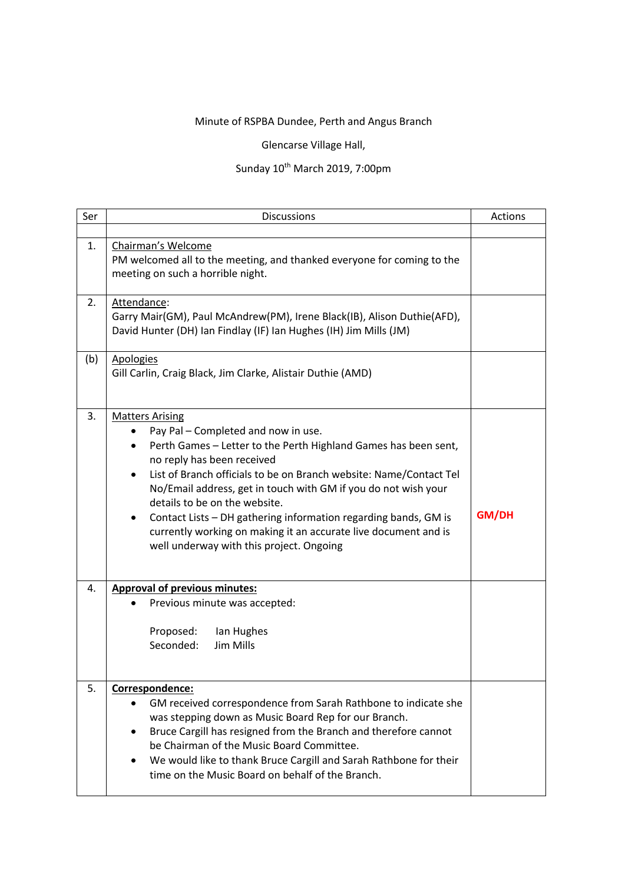## Minute of RSPBA Dundee, Perth and Angus Branch

Glencarse Village Hall,

## Sunday 10<sup>th</sup> March 2019, 7:00pm

| Ser | <b>Discussions</b>                                                                                                                                                                                                                                                                                                                                                                                                                                                                                                                                       | Actions |
|-----|----------------------------------------------------------------------------------------------------------------------------------------------------------------------------------------------------------------------------------------------------------------------------------------------------------------------------------------------------------------------------------------------------------------------------------------------------------------------------------------------------------------------------------------------------------|---------|
| 1.  | Chairman's Welcome<br>PM welcomed all to the meeting, and thanked everyone for coming to the<br>meeting on such a horrible night.                                                                                                                                                                                                                                                                                                                                                                                                                        |         |
| 2.  | Attendance:<br>Garry Mair(GM), Paul McAndrew(PM), Irene Black(IB), Alison Duthie(AFD),<br>David Hunter (DH) Ian Findlay (IF) Ian Hughes (IH) Jim Mills (JM)                                                                                                                                                                                                                                                                                                                                                                                              |         |
| (b) | <b>Apologies</b><br>Gill Carlin, Craig Black, Jim Clarke, Alistair Duthie (AMD)                                                                                                                                                                                                                                                                                                                                                                                                                                                                          |         |
| 3.  | <b>Matters Arising</b><br>Pay Pal - Completed and now in use.<br>Perth Games - Letter to the Perth Highland Games has been sent,<br>$\bullet$<br>no reply has been received<br>List of Branch officials to be on Branch website: Name/Contact Tel<br>$\bullet$<br>No/Email address, get in touch with GM if you do not wish your<br>details to be on the website.<br>Contact Lists - DH gathering information regarding bands, GM is<br>٠<br>currently working on making it an accurate live document and is<br>well underway with this project. Ongoing | GM/DH   |
| 4.  | <b>Approval of previous minutes:</b><br>Previous minute was accepted:<br>Proposed:<br>Ian Hughes<br>Seconded:<br>Jim Mills                                                                                                                                                                                                                                                                                                                                                                                                                               |         |
| 5.  | Correspondence:<br>GM received correspondence from Sarah Rathbone to indicate she<br>was stepping down as Music Board Rep for our Branch.<br>Bruce Cargill has resigned from the Branch and therefore cannot<br>be Chairman of the Music Board Committee.<br>We would like to thank Bruce Cargill and Sarah Rathbone for their<br>time on the Music Board on behalf of the Branch.                                                                                                                                                                       |         |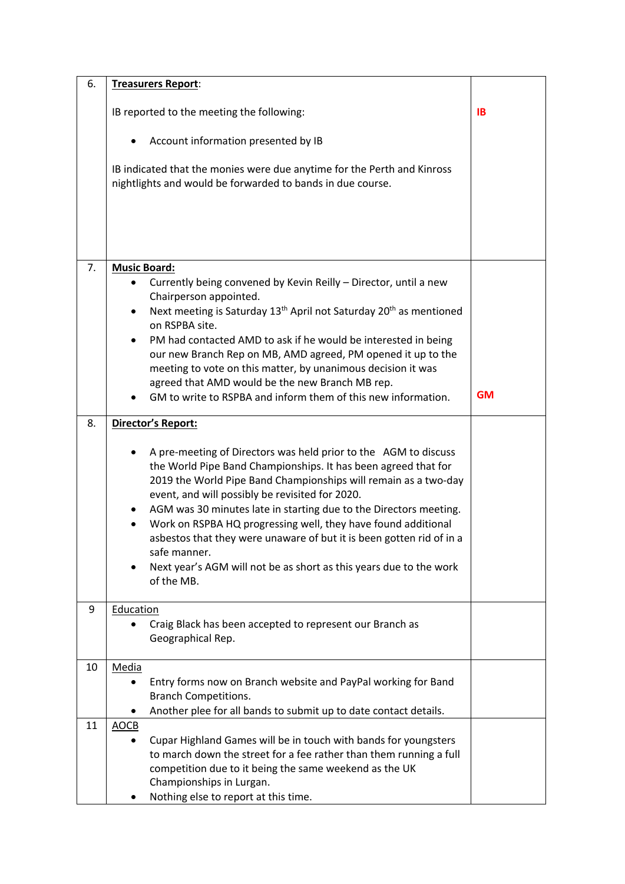| 6. | Treasurers Report:                                                                                                                                                                                                                                                                                                           |           |
|----|------------------------------------------------------------------------------------------------------------------------------------------------------------------------------------------------------------------------------------------------------------------------------------------------------------------------------|-----------|
|    | IB reported to the meeting the following:                                                                                                                                                                                                                                                                                    | <b>IB</b> |
|    | Account information presented by IB                                                                                                                                                                                                                                                                                          |           |
|    | IB indicated that the monies were due anytime for the Perth and Kinross<br>nightlights and would be forwarded to bands in due course.                                                                                                                                                                                        |           |
|    |                                                                                                                                                                                                                                                                                                                              |           |
| 7. | <b>Music Board:</b>                                                                                                                                                                                                                                                                                                          |           |
|    | Currently being convened by Kevin Reilly - Director, until a new                                                                                                                                                                                                                                                             |           |
|    | Chairperson appointed.                                                                                                                                                                                                                                                                                                       |           |
|    | Next meeting is Saturday 13 <sup>th</sup> April not Saturday 20 <sup>th</sup> as mentioned<br>$\bullet$<br>on RSPBA site.                                                                                                                                                                                                    |           |
|    | PM had contacted AMD to ask if he would be interested in being                                                                                                                                                                                                                                                               |           |
|    | our new Branch Rep on MB, AMD agreed, PM opened it up to the                                                                                                                                                                                                                                                                 |           |
|    | meeting to vote on this matter, by unanimous decision it was<br>agreed that AMD would be the new Branch MB rep.                                                                                                                                                                                                              |           |
|    | GM to write to RSPBA and inform them of this new information.                                                                                                                                                                                                                                                                | <b>GM</b> |
|    |                                                                                                                                                                                                                                                                                                                              |           |
| 8. | Director's Report:                                                                                                                                                                                                                                                                                                           |           |
|    | A pre-meeting of Directors was held prior to the AGM to discuss<br>the World Pipe Band Championships. It has been agreed that for<br>2019 the World Pipe Band Championships will remain as a two-day<br>event, and will possibly be revisited for 2020.<br>AGM was 30 minutes late in starting due to the Directors meeting. |           |
|    | Work on RSPBA HQ progressing well, they have found additional<br>asbestos that they were unaware of but it is been gotten rid of in a<br>safe manner.                                                                                                                                                                        |           |
|    | Next year's AGM will not be as short as this years due to the work<br>of the MB.                                                                                                                                                                                                                                             |           |
| 9  | Education                                                                                                                                                                                                                                                                                                                    |           |
|    | Craig Black has been accepted to represent our Branch as<br>Geographical Rep.                                                                                                                                                                                                                                                |           |
| 10 | Media                                                                                                                                                                                                                                                                                                                        |           |
|    | Entry forms now on Branch website and PayPal working for Band                                                                                                                                                                                                                                                                |           |
|    | <b>Branch Competitions.</b>                                                                                                                                                                                                                                                                                                  |           |
| 11 | Another plee for all bands to submit up to date contact details.<br>AOCB                                                                                                                                                                                                                                                     |           |
|    | Cupar Highland Games will be in touch with bands for youngsters<br>$\bullet$                                                                                                                                                                                                                                                 |           |
|    | to march down the street for a fee rather than them running a full                                                                                                                                                                                                                                                           |           |
|    | competition due to it being the same weekend as the UK<br>Championships in Lurgan.                                                                                                                                                                                                                                           |           |
|    | Nothing else to report at this time.                                                                                                                                                                                                                                                                                         |           |